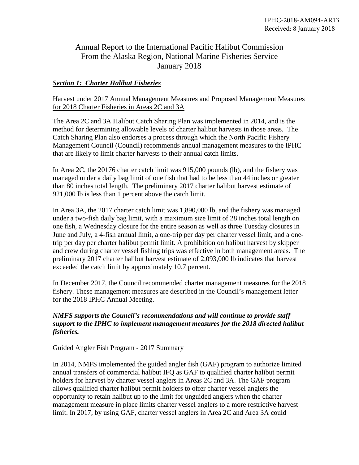# Annual Report to the International Pacific Halibut Commission From the Alaska Region, National Marine Fisheries Service January 2018

# *Section 1: Charter Halibut Fisheries*

# Harvest under 2017 Annual Management Measures and Proposed Management Measures for 2018 Charter Fisheries in Areas 2C and 3A

The Area 2C and 3A Halibut Catch Sharing Plan was implemented in 2014, and is the method for determining allowable levels of charter halibut harvests in those areas. The Catch Sharing Plan also endorses a process through which the North Pacific Fishery Management Council (Council) recommends annual management measures to the IPHC that are likely to limit charter harvests to their annual catch limits.

In Area 2C, the 20176 charter catch limit was 915,000 pounds (lb), and the fishery was managed under a daily bag limit of one fish that had to be less than 44 inches or greater than 80 inches total length. The preliminary 2017 charter halibut harvest estimate of 921,000 lb is less than 1 percent above the catch limit.

In Area 3A, the 2017 charter catch limit was 1,890,000 lb, and the fishery was managed under a two-fish daily bag limit, with a maximum size limit of 28 inches total length on one fish, a Wednesday closure for the entire season as well as three Tuesday closures in June and July, a 4-fish annual limit, a one-trip per day per charter vessel limit, and a onetrip per day per charter halibut permit limit. A prohibition on halibut harvest by skipper and crew during charter vessel fishing trips was effective in both management areas. The preliminary 2017 charter halibut harvest estimate of 2,093,000 lb indicates that harvest exceeded the catch limit by approximately 10.7 percent.

In December 2017, the Council recommended charter management measures for the 2018 fishery. These management measures are described in the Council's management letter for the 2018 IPHC Annual Meeting.

# *NMFS supports the Council's recommendations and will continue to provide staff support to the IPHC to implement management measures for the 2018 directed halibut fisheries.*

#### Guided Angler Fish Program - 2017 Summary

In 2014, NMFS implemented the guided angler fish (GAF) program to authorize limited annual transfers of commercial halibut IFQ as GAF to qualified charter halibut permit holders for harvest by charter vessel anglers in Areas 2C and 3A. The GAF program allows qualified charter halibut permit holders to offer charter vessel anglers the opportunity to retain halibut up to the limit for unguided anglers when the charter management measure in place limits charter vessel anglers to a more restrictive harvest limit. In 2017, by using GAF, charter vessel anglers in Area 2C and Area 3A could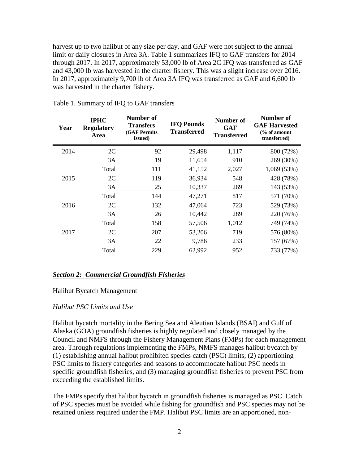harvest up to two halibut of any size per day, and GAF were not subject to the annual limit or daily closures in Area 3A. Table 1 summarizes IFQ to GAF transfers for 2014 through 2017. In 2017, approximately 53,000 lb of Area 2C IFQ was transferred as GAF and 43,000 lb was harvested in the charter fishery. This was a slight increase over 2016. In 2017, approximately 9,700 lb of Area 3A IFQ was transferred as GAF and 6,600 lb was harvested in the charter fishery.

| Year | <b>IPHC</b><br><b>Regulatory</b><br>Area | Number of<br><b>Transfers</b><br><b>(GAF Permits</b><br><b>Issued</b> ) | <b>IFQ Pounds</b><br><b>Transferred</b> | Number of<br>GAF<br><b>Transferred</b> | Number of<br><b>GAF Harvested</b><br>$\frac{6}{6}$ of amount<br>transferred) |
|------|------------------------------------------|-------------------------------------------------------------------------|-----------------------------------------|----------------------------------------|------------------------------------------------------------------------------|
| 2014 | 2C                                       | 92                                                                      | 29,498                                  | 1,117                                  | 800 (72%)                                                                    |
|      | 3A                                       | 19                                                                      | 11,654                                  | 910                                    | 269 (30%)                                                                    |
|      | Total                                    | 111                                                                     | 41,152                                  | 2,027                                  | 1,069(53%)                                                                   |
| 2015 | 2C                                       | 119                                                                     | 36,934                                  | 548                                    | 428 (78%)                                                                    |
|      | 3A                                       | 25                                                                      | 10,337                                  | 269                                    | 143 (53%)                                                                    |
|      | Total                                    | 144                                                                     | 47,271                                  | 817                                    | 571 (70%)                                                                    |
| 2016 | 2C                                       | 132                                                                     | 47,064                                  | 723                                    | 529 (73%)                                                                    |
|      | 3A                                       | 26                                                                      | 10,442                                  | 289                                    | 220 (76%)                                                                    |
|      | Total                                    | 158                                                                     | 57,506                                  | 1,012                                  | 749 (74%)                                                                    |
| 2017 | 2C                                       | 207                                                                     | 53,206                                  | 719                                    | 576 (80%)                                                                    |
|      | 3A                                       | 22                                                                      | 9,786                                   | 233                                    | 157 (67%)                                                                    |
|      | Total                                    | 229                                                                     | 62,992                                  | 952                                    | 733 (77%)                                                                    |

Table 1. Summary of IFQ to GAF transfers

#### *Section 2: Commercial Groundfish Fisheries*

#### Halibut Bycatch Management

## *Halibut PSC Limits and Use*

Halibut bycatch mortality in the Bering Sea and Aleutian Islands (BSAI) and Gulf of Alaska (GOA) groundfish fisheries is highly regulated and closely managed by the Council and NMFS through the Fishery Management Plans (FMPs) for each management area. Through regulations implementing the FMPs, NMFS manages halibut bycatch by (1) establishing annual halibut prohibited species catch (PSC) limits, (2) apportioning PSC limits to fishery categories and seasons to accommodate halibut PSC needs in specific groundfish fisheries, and (3) managing groundfish fisheries to prevent PSC from exceeding the established limits.

The FMPs specify that halibut bycatch in groundfish fisheries is managed as PSC. Catch of PSC species must be avoided while fishing for groundfish and PSC species may not be retained unless required under the FMP. Halibut PSC limits are an apportioned, non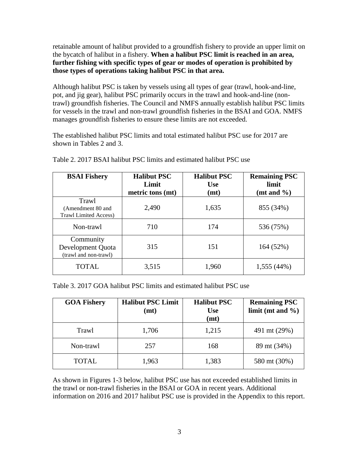retainable amount of halibut provided to a groundfish fishery to provide an upper limit on the bycatch of halibut in a fishery. **When a halibut PSC limit is reached in an area, further fishing with specific types of gear or modes of operation is prohibited by those types of operations taking halibut PSC in that area.**

Although halibut PSC is taken by vessels using all types of gear (trawl, hook-and-line, pot, and jig gear), halibut PSC primarily occurs in the trawl and hook-and-line (nontrawl) groundfish fisheries. The Council and NMFS annually establish halibut PSC limits for vessels in the trawl and non-trawl groundfish fisheries in the BSAI and GOA. NMFS manages groundfish fisheries to ensure these limits are not exceeded.

The established halibut PSC limits and total estimated halibut PSC use for 2017 are shown in Tables 2 and 3.

| <b>BSAI Fishery</b>                                         | <b>Halibut PSC</b><br>Limit<br>metric tons (mt) | <b>Halibut PSC</b><br><b>Use</b><br>(mt) | <b>Remaining PSC</b><br>limit<br>(mt and $\%$ ) |
|-------------------------------------------------------------|-------------------------------------------------|------------------------------------------|-------------------------------------------------|
| Trawl<br>(Amendment 80 and)<br><b>Trawl Limited Access)</b> | 2,490                                           | 1,635                                    | 855 (34%)                                       |
| Non-trawl                                                   | 710                                             | 174                                      | 536 (75%)                                       |
| Community<br>Development Quota<br>(trawl and non-trawl)     | 315                                             | 151                                      | 164(52%)                                        |
| <b>TOTAL</b>                                                | 3,515                                           | 1,960                                    | 1,555 (44%)                                     |

Table 2. 2017 BSAI halibut PSC limits and estimated halibut PSC use

Table 3. 2017 GOA halibut PSC limits and estimated halibut PSC use

| <b>GOA Fishery</b> | <b>Halibut PSC Limit</b><br>(mt) | <b>Halibut PSC</b><br><b>Use</b><br>(mt) | <b>Remaining PSC</b><br>limit (mt and $\%$ ) |
|--------------------|----------------------------------|------------------------------------------|----------------------------------------------|
| Trawl              | 1,706                            | 1,215                                    | 491 mt (29%)                                 |
| Non-trawl          | 257                              | 168                                      | 89 mt (34%)                                  |
| <b>TOTAL</b>       | 1,963                            | 1,383                                    | 580 mt (30%)                                 |

As shown in Figures 1-3 below, halibut PSC use has not exceeded established limits in the trawl or non-trawl fisheries in the BSAI or GOA in recent years. Additional information on 2016 and 2017 halibut PSC use is provided in the Appendix to this report.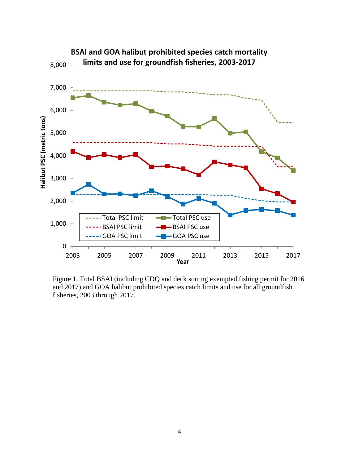

Figure 1. Total BSAI (including CDQ and deck sorting exempted fishing permit for 2016 and 2017) and GOA halibut prohibited species catch limits and use for all groundfish fisheries, 2003 through 2017.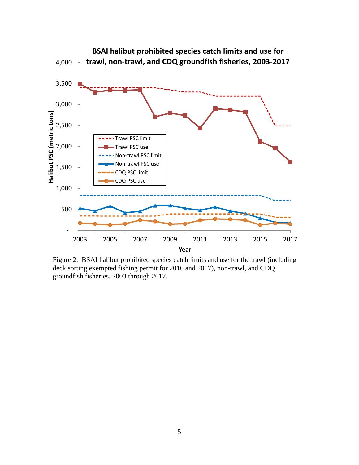

Figure 2. BSAI halibut prohibited species catch limits and use for the trawl (including deck sorting exempted fishing permit for 2016 and 2017), non-trawl, and CDQ groundfish fisheries, 2003 through 2017.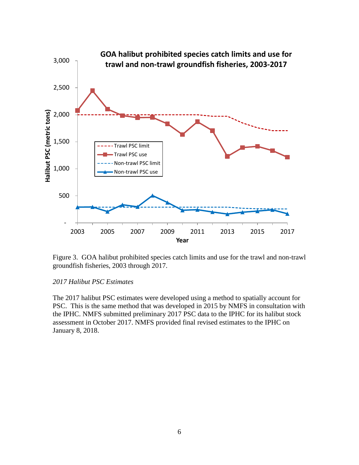

Figure 3. GOA halibut prohibited species catch limits and use for the trawl and non-trawl groundfish fisheries, 2003 through 2017.

#### *2017 Halibut PSC Estimates*

The 2017 halibut PSC estimates were developed using a method to spatially account for PSC. This is the same method that was developed in 2015 by NMFS in consultation with the IPHC. NMFS submitted preliminary 2017 PSC data to the IPHC for its halibut stock assessment in October 2017. NMFS provided final revised estimates to the IPHC on January 8, 2018.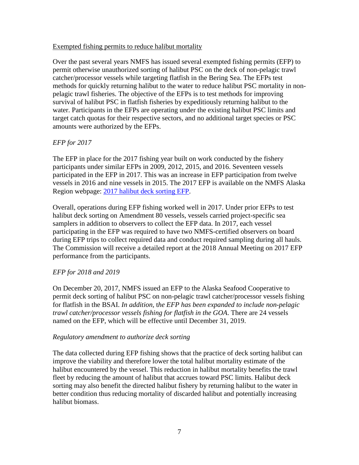#### Exempted fishing permits to reduce halibut mortality

Over the past several years NMFS has issued several exempted fishing permits (EFP) to permit otherwise unauthorized sorting of halibut PSC on the deck of non-pelagic trawl catcher/processor vessels while targeting flatfish in the Bering Sea. The EFPs test methods for quickly returning halibut to the water to reduce halibut PSC mortality in nonpelagic trawl fisheries. The objective of the EFPs is to test methods for improving survival of halibut PSC in flatfish fisheries by expeditiously returning halibut to the water. Participants in the EFPs are operating under the existing halibut PSC limits and target catch quotas for their respective sectors, and no additional target species or PSC amounts were authorized by the EFPs.

# *EFP for 2017*

The EFP in place for the 2017 fishing year built on work conducted by the fishery participants under similar EFPs in 2009, 2012, 2015, and 2016. Seventeen vessels participated in the EFP in 2017. This was an increase in EFP participation from twelve vessels in 2016 and nine vessels in 2015. The 2017 EFP is available on the NMFS Alaska Region webpage: 2017 halibut deck sorting EFP.

Overall, operations during EFP fishing worked well in 2017. Under prior EFPs to test halibut deck sorting on Amendment 80 vessels, vessels carried project-specific sea samplers in addition to observers to collect the EFP data. In 2017, each vessel participating in the EFP was required to have two NMFS-certified observers on board during EFP trips to collect required data and conduct required sampling during all hauls. The Commission will receive a detailed report at the 2018 Annual Meeting on 2017 EFP performance from the participants.

# *EFP for 2018 and 2019*

On December 20, 2017, NMFS issued an EFP to the Alaska Seafood Cooperative to permit deck sorting of halibut PSC on non-pelagic trawl catcher/processor vessels fishing for flatfish in the BSAI. *In addition,* t*he EFP has been expanded to include non-pelagic trawl catcher/processor vessels fishing for flatfish in the GOA*. There are 24 vessels named on the EFP, which will be effective until December 31, 2019.

#### *Regulatory amendment to authorize deck sorting*

The data collected during EFP fishing shows that the practice of deck sorting halibut can improve the viability and therefore lower the total halibut mortality estimate of the halibut encountered by the vessel. This reduction in halibut mortality benefits the trawl fleet by reducing the amount of halibut that accrues toward PSC limits. Halibut deck sorting may also benefit the directed halibut fishery by returning halibut to the water in better condition thus reducing mortality of discarded halibut and potentially increasing halibut biomass.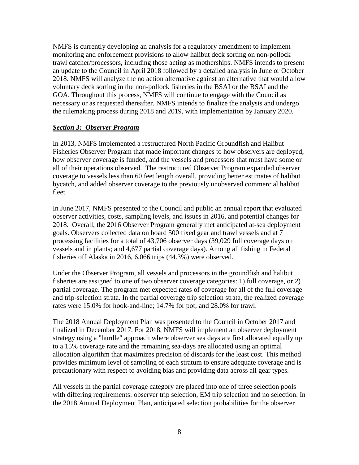NMFS is currently developing an analysis for a regulatory amendment to implement monitoring and enforcement provisions to allow halibut deck sorting on non-pollock trawl catcher/processors, including those acting as motherships. NMFS intends to present an update to the Council in April 2018 followed by a detailed analysis in June or October 2018. NMFS will analyze the no action alternative against an alternative that would allow voluntary deck sorting in the non-pollock fisheries in the BSAI or the BSAI and the GOA. Throughout this process, NMFS will continue to engage with the Council as necessary or as requested thereafter. NMFS intends to finalize the analysis and undergo the rulemaking process during 2018 and 2019, with implementation by January 2020.

# *Section 3: Observer Program*

In 2013, NMFS implemented a restructured North Pacific Groundfish and Halibut Fisheries Observer Program that made important changes to how observers are deployed, how observer coverage is funded, and the vessels and processors that must have some or all of their operations observed. The restructured Observer Program expanded observer coverage to vessels less than 60 feet length overall, providing better estimates of halibut bycatch, and added observer coverage to the previously unobserved commercial halibut fleet.

In June 2017, NMFS presented to the Council and public an annual report that evaluated observer activities, costs, sampling levels, and issues in 2016, and potential changes for 2018. Overall, the 2016 Observer Program generally met anticipated at-sea deployment goals. Observers collected data on board 500 fixed gear and trawl vessels and at 7 processing facilities for a total of 43,706 observer days (39,029 full coverage days on vessels and in plants; and 4,677 partial coverage days). Among all fishing in Federal fisheries off Alaska in 2016, 6,066 trips (44.3%) were observed.

Under the Observer Program, all vessels and processors in the groundfish and halibut fisheries are assigned to one of two observer coverage categories: 1) full coverage, or 2) partial coverage. The program met expected rates of coverage for all of the full coverage and trip-selection strata. In the partial coverage trip selection strata, the realized coverage rates were 15.0% for hook-and-line; 14.7% for pot; and 28.0% for trawl.

The 2018 Annual Deployment Plan was presented to the Council in October 2017 and finalized in December 2017. For 2018, NMFS will implement an observer deployment strategy using a "hurdle" approach where observer sea days are first allocated equally up to a 15% coverage rate and the remaining sea-days are allocated using an optimal allocation algorithm that maximizes precision of discards for the least cost. This method provides minimum level of sampling of each stratum to ensure adequate coverage and is precautionary with respect to avoiding bias and providing data across all gear types.

All vessels in the partial coverage category are placed into one of three selection pools with differing requirements: observer trip selection, EM trip selection and no selection. In the 2018 Annual Deployment Plan, anticipated selection probabilities for the observer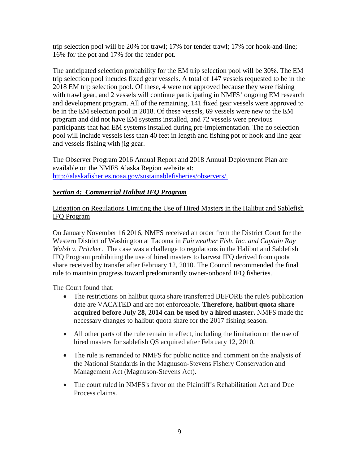trip selection pool will be 20% for trawl; 17% for tender trawl; 17% for hook-and-line; 16% for the pot and 17% for the tender pot.

The anticipated selection probability for the EM trip selection pool will be 30%. The EM trip selection pool incudes fixed gear vessels. A total of 147 vessels requested to be in the 2018 EM trip selection pool. Of these, 4 were not approved because they were fishing with trawl gear, and 2 vessels will continue participating in NMFS' ongoing EM research and development program. All of the remaining, 141 fixed gear vessels were approved to be in the EM selection pool in 2018. Of these vessels, 69 vessels were new to the EM program and did not have EM systems installed, and 72 vessels were previous participants that had EM systems installed during pre-implementation. The no selection pool will include vessels less than 40 feet in length and fishing pot or hook and line gear and vessels fishing with jig gear.

The Observer Program 2016 Annual Report and 2018 Annual Deployment Plan are available on the NMFS Alaska Region website at: http://alaskafisheries.noaa.gov/sustainablefisheries/observers/.

# *Section 4: Commercial Halibut IFQ Program*

# Litigation on Regulations Limiting the Use of Hired Masters in the Halibut and Sablefish IFQ Program

On January November 16 2016, NMFS received an order from the District Court for the Western District of Washington at Tacoma in *Fairweather Fish, Inc. and Captain Ray Walsh v. Pritzker*. The case was a challenge to regulations in the Halibut and Sablefish IFQ Program prohibiting the use of hired masters to harvest IFQ derived from quota share received by transfer after February 12, 2010. The Council recommended the final rule to maintain progress toward predominantly owner-onboard IFQ fisheries.

The Court found that:

- The restrictions on halibut quota share transferred BEFORE the rule's publication date are VACATED and are not enforceable. **Therefore, halibut quota share acquired before July 28, 2014 can be used by a hired master.** NMFS made the necessary changes to halibut quota share for the 2017 fishing season.
- All other parts of the rule remain in effect, including the limitation on the use of hired masters for sablefish QS acquired after February 12, 2010.
- The rule is remanded to NMFS for public notice and comment on the analysis of the National Standards in the Magnuson-Stevens Fishery Conservation and Management Act (Magnuson-Stevens Act).
- The court ruled in NMFS's favor on the Plaintiff's Rehabilitation Act and Due Process claims.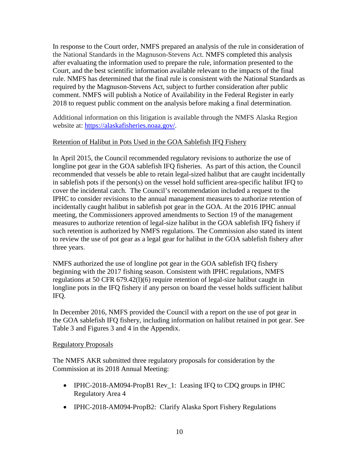In response to the Court order, NMFS prepared an analysis of the rule in consideration of the National Standards in the Magnuson-Stevens Act. NMFS completed this analysis after evaluating the information used to prepare the rule, information presented to the Court, and the best scientific information available relevant to the impacts of the final rule. NMFS has determined that the final rule is consistent with the National Standards as required by the Magnuson-Stevens Act, subject to further consideration after public comment. NMFS will publish a Notice of Availability in the Federal Register in early 2018 to request public comment on the analysis before making a final determination.

Additional information on this litigation is available through the NMFS Alaska Region website at: https://alaskafisheries.noaa.gov/.

#### Retention of Halibut in Pots Used in the GOA Sablefish IFQ Fishery

In April 2015, the Council recommended regulatory revisions to authorize the use of longline pot gear in the GOA sablefish IFQ fisheries. As part of this action, the Council recommended that vessels be able to retain legal-sized halibut that are caught incidentally in sablefish pots if the person(s) on the vessel hold sufficient area-specific halibut IFQ to cover the incidental catch. The Council's recommendation included a request to the IPHC to consider revisions to the annual management measures to authorize retention of incidentally caught halibut in sablefish pot gear in the GOA. At the 2016 IPHC annual meeting, the Commissioners approved amendments to Section 19 of the management measures to authorize retention of legal-size halibut in the GOA sablefish IFQ fishery if such retention is authorized by NMFS regulations. The Commission also stated its intent to review the use of pot gear as a legal gear for halibut in the GOA sablefish fishery after three years.

NMFS authorized the use of longline pot gear in the GOA sablefish IFQ fishery beginning with the 2017 fishing season. Consistent with IPHC regulations, NMFS regulations at 50 CFR 679.42(l)(6) require retention of legal-size halibut caught in longline pots in the IFQ fishery if any person on board the vessel holds sufficient halibut IFQ.

In December 2016, NMFS provided the Council with a report on the use of pot gear in the GOA sablefish IFQ fishery, including information on halibut retained in pot gear. See Table 3 and Figures 3 and 4 in the Appendix.

#### Regulatory Proposals

The NMFS AKR submitted three regulatory proposals for consideration by the Commission at its 2018 Annual Meeting:

- IPHC-2018-AM094-PropB1 Rev\_1: Leasing IFQ to CDQ groups in IPHC Regulatory Area 4
- IPHC-2018-AM094-PropB2: Clarify Alaska Sport Fishery Regulations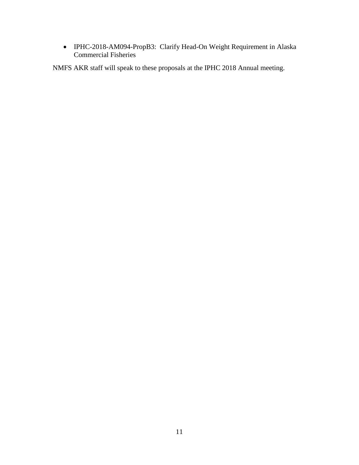• IPHC-2018-AM094-PropB3: Clarify Head-On Weight Requirement in Alaska Commercial Fisheries

NMFS AKR staff will speak to these proposals at the IPHC 2018 Annual meeting.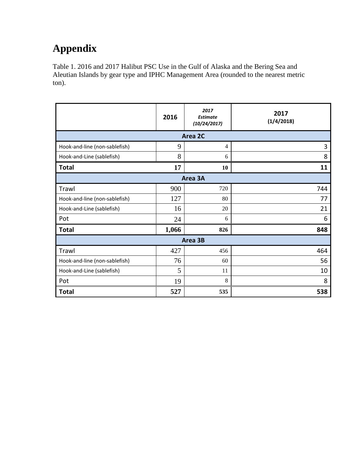# **Appendix**

Table 1. 2016 and 2017 Halibut PSC Use in the Gulf of Alaska and the Bering Sea and Aleutian Islands by gear type and IPHC Management Area (rounded to the nearest metric ton).

|                               | 2016  | 2017<br><b>Estimate</b><br>(10/24/2017) | 2017<br>(1/4/2018) |  |  |  |  |  |  |
|-------------------------------|-------|-----------------------------------------|--------------------|--|--|--|--|--|--|
| Area 2C                       |       |                                         |                    |  |  |  |  |  |  |
| Hook-and-line (non-sablefish) | 9     | $\overline{4}$                          | 3                  |  |  |  |  |  |  |
| Hook-and-Line (sablefish)     | 8     | 6                                       | 8                  |  |  |  |  |  |  |
| <b>Total</b>                  | 17    | 10                                      | 11                 |  |  |  |  |  |  |
|                               |       | Area 3A                                 |                    |  |  |  |  |  |  |
| Trawl                         | 900   | 720                                     | 744                |  |  |  |  |  |  |
| Hook-and-line (non-sablefish) | 127   | 80                                      | 77                 |  |  |  |  |  |  |
| Hook-and-Line (sablefish)     | 16    | 20                                      | 21                 |  |  |  |  |  |  |
| Pot                           | 24    | 6                                       | 6                  |  |  |  |  |  |  |
| <b>Total</b>                  | 1,066 | 826                                     | 848                |  |  |  |  |  |  |
|                               |       | Area 3B                                 |                    |  |  |  |  |  |  |
| Trawl                         | 427   | 456                                     | 464                |  |  |  |  |  |  |
| Hook-and-line (non-sablefish) | 76    | 60                                      | 56                 |  |  |  |  |  |  |
| Hook-and-Line (sablefish)     | 5     | 11                                      | 10                 |  |  |  |  |  |  |
| Pot                           | 19    | 8                                       | 8                  |  |  |  |  |  |  |
| <b>Total</b>                  | 527   | 535                                     | 538                |  |  |  |  |  |  |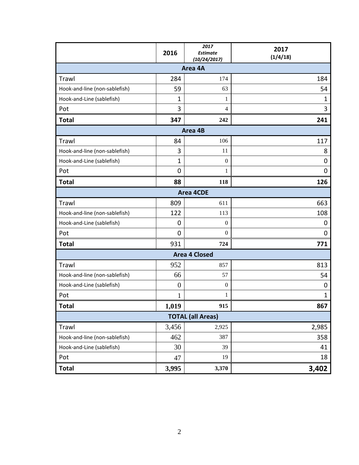|                               | 2016           | 2017<br><b>Estimate</b> | 2017<br>(1/4/18) |  |  |  |  |  |  |  |
|-------------------------------|----------------|-------------------------|------------------|--|--|--|--|--|--|--|
| (10/24/2017)<br>Area 4A       |                |                         |                  |  |  |  |  |  |  |  |
| Trawl                         | 284            | 174                     | 184              |  |  |  |  |  |  |  |
| Hook-and-line (non-sablefish) | 59             | 63                      | 54               |  |  |  |  |  |  |  |
| Hook-and-Line (sablefish)     | 1              | 1                       | $\mathbf{1}$     |  |  |  |  |  |  |  |
| Pot                           | 3              | $\overline{4}$          | 3                |  |  |  |  |  |  |  |
| <b>Total</b>                  | 347            | 242                     | 241              |  |  |  |  |  |  |  |
|                               |                | Area 4B                 |                  |  |  |  |  |  |  |  |
| Trawl                         | 84             | 106                     | 117              |  |  |  |  |  |  |  |
| Hook-and-line (non-sablefish) | 3              | 11                      | 8                |  |  |  |  |  |  |  |
| Hook-and-Line (sablefish)     | $\mathbf{1}$   | $\mathbf{0}$            | 0                |  |  |  |  |  |  |  |
| Pot                           | 0              | 1                       | 0                |  |  |  |  |  |  |  |
| <b>Total</b>                  | 88             | 118                     | 126              |  |  |  |  |  |  |  |
| <b>Area 4CDE</b>              |                |                         |                  |  |  |  |  |  |  |  |
| Trawl                         | 809            | 611                     | 663              |  |  |  |  |  |  |  |
| Hook-and-line (non-sablefish) | 122            | 113                     | 108              |  |  |  |  |  |  |  |
| Hook-and-Line (sablefish)     | 0              | $\theta$                | 0                |  |  |  |  |  |  |  |
| Pot                           | 0              | $\boldsymbol{0}$        | 0                |  |  |  |  |  |  |  |
| <b>Total</b>                  | 931            | 724                     | 771              |  |  |  |  |  |  |  |
|                               |                | <b>Area 4 Closed</b>    |                  |  |  |  |  |  |  |  |
| Trawl                         | 952            | 857                     | 813              |  |  |  |  |  |  |  |
| Hook-and-line (non-sablefish) | 66             | 57                      | 54               |  |  |  |  |  |  |  |
| Hook-and-Line (sablefish)     | $\overline{0}$ | $\boldsymbol{0}$        | 0                |  |  |  |  |  |  |  |
| Pot                           | 1              | 1                       | $\mathbf{1}$     |  |  |  |  |  |  |  |
| <b>Total</b>                  | 1,019          | 915                     | 867              |  |  |  |  |  |  |  |
| <b>TOTAL (all Areas)</b>      |                |                         |                  |  |  |  |  |  |  |  |
| Trawl                         | 3,456          | 2,925                   | 2,985            |  |  |  |  |  |  |  |
| Hook-and-line (non-sablefish) | 462            | 387                     | 358              |  |  |  |  |  |  |  |
| Hook-and-Line (sablefish)     | 30             | 39                      | 41               |  |  |  |  |  |  |  |
| Pot                           | 47             | 19                      | 18               |  |  |  |  |  |  |  |
| <b>Total</b>                  | 3,995          | 3,370                   | 3,402            |  |  |  |  |  |  |  |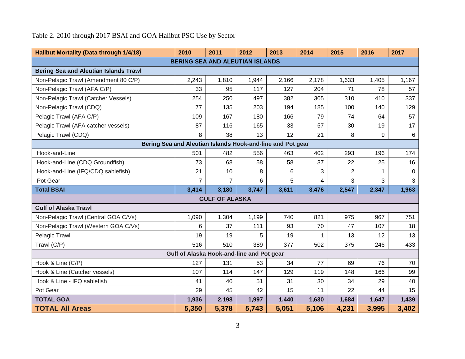# Table 2. 2010 through 2017 BSAI and GOA Halibut PSC Use by Sector

| <b>Halibut Mortality (Data through 1/4/18)</b>             | 2010                                      | 2011                  | 2012  | 2013  | 2014           | 2015           | 2016  | 2017     |  |  |  |
|------------------------------------------------------------|-------------------------------------------|-----------------------|-------|-------|----------------|----------------|-------|----------|--|--|--|
| <b>BERING SEA AND ALEUTIAN ISLANDS</b>                     |                                           |                       |       |       |                |                |       |          |  |  |  |
| <b>Bering Sea and Aleutian Islands Trawl</b>               |                                           |                       |       |       |                |                |       |          |  |  |  |
| Non-Pelagic Trawl (Amendment 80 C/P)                       | 2,243                                     | 1,810                 | 1,944 | 2,166 | 2,178          | 1,633          | 1,405 | 1,167    |  |  |  |
| Non-Pelagic Trawl (AFA C/P)                                | 33                                        | 95                    | 117   | 127   | 204            | 71             | 78    | 57       |  |  |  |
| Non-Pelagic Trawl (Catcher Vessels)                        | 254                                       | 250                   | 497   | 382   | 305            | 310            | 410   | 337      |  |  |  |
| Non-Pelagic Trawl (CDQ)                                    | 77                                        | 135                   | 203   | 194   | 185            | 100            | 140   | 129      |  |  |  |
| Pelagic Trawl (AFA C/P)                                    | 109                                       | 167                   | 180   | 166   | 79             | 74             | 64    | 57       |  |  |  |
| Pelagic Trawl (AFA catcher vessels)                        | 87                                        | 116                   | 165   | 33    | 57             | 30             | 19    | 17       |  |  |  |
| Pelagic Trawl (CDQ)                                        | 8                                         | 38                    | 13    | 12    | 21             | 8              | 9     | 6        |  |  |  |
| Bering Sea and Aleutian Islands Hook-and-line and Pot gear |                                           |                       |       |       |                |                |       |          |  |  |  |
| Hook-and-Line                                              | 501                                       | 482                   | 556   | 463   | 402            | 293            | 196   | 174      |  |  |  |
| Hook-and-Line (CDQ Groundfish)                             | 73                                        | 68                    | 58    | 58    | 37             | 22             | 25    | 16       |  |  |  |
| Hook-and-Line (IFQ/CDQ sablefish)                          | 21                                        | 10                    | 8     | 6     | 3              | $\overline{2}$ |       | $\Omega$ |  |  |  |
| Pot Gear                                                   | $\overline{7}$                            | $\overline{7}$        | 6     | 5     | $\overline{4}$ | 3              | 3     | 3        |  |  |  |
| <b>Total BSAI</b>                                          | 3,414                                     | 3,180                 | 3,747 | 3,611 | 3,476          | 2,547          | 2,347 | 1,963    |  |  |  |
|                                                            |                                           | <b>GULF OF ALASKA</b> |       |       |                |                |       |          |  |  |  |
| <b>Gulf of Alaska Trawl</b>                                |                                           |                       |       |       |                |                |       |          |  |  |  |
| Non-Pelagic Trawl (Central GOA C/Vs)                       | 1,090                                     | 1,304                 | 1,199 | 740   | 821            | 975            | 967   | 751      |  |  |  |
| Non-Pelagic Trawl (Western GOA C/Vs)                       | 6                                         | 37                    | 111   | 93    | 70             | 47             | 107   | 18       |  |  |  |
| Pelagic Trawl                                              | 19                                        | 19                    | 5     | 19    |                | 13             | 12    | 13       |  |  |  |
| Trawl (C/P)                                                | 516                                       | 510                   | 389   | 377   | 502            | 375            | 246   | 433      |  |  |  |
|                                                            | Gulf of Alaska Hook-and-line and Pot gear |                       |       |       |                |                |       |          |  |  |  |
| Hook & Line (C/P)                                          | 127                                       | 131                   | 53    | 34    | 77             | 69             | 76    | 70       |  |  |  |
| Hook & Line (Catcher vessels)                              | 107                                       | 114                   | 147   | 129   | 119            | 148            | 166   | 99       |  |  |  |
| Hook & Line - IFQ sablefish                                | 41                                        | 40                    | 51    | 31    | 30             | 34             | 29    | 40       |  |  |  |
| Pot Gear                                                   | 29                                        | 45                    | 42    | 15    | 11             | 22             | 44    | 15       |  |  |  |
| <b>TOTAL GOA</b>                                           | 1,936                                     | 2,198                 | 1,997 | 1,440 | 1,630          | 1,684          | 1,647 | 1,439    |  |  |  |
| <b>TOTAL AII Areas</b>                                     | 5,350                                     | 5,378                 | 5,743 | 5,051 | 5,106          | 4,231          | 3,995 | 3,402    |  |  |  |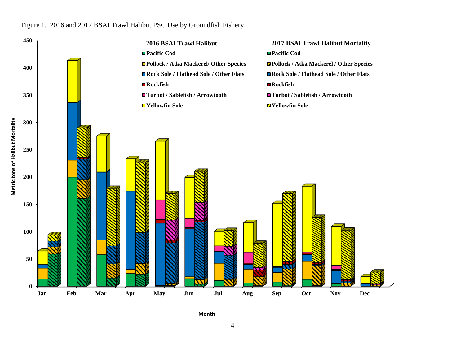#### Figure 1. 2016 and 2017 BSAI Trawl Halibut PSC Use by Groundfish Fishery



**Month**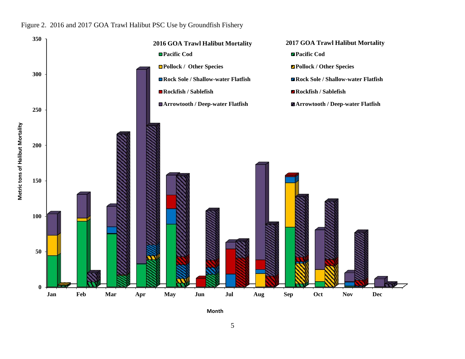#### Figure 2. 2016 and 2017 GOA Trawl Halibut PSC Use by Groundfish Fishery



**Month** 

5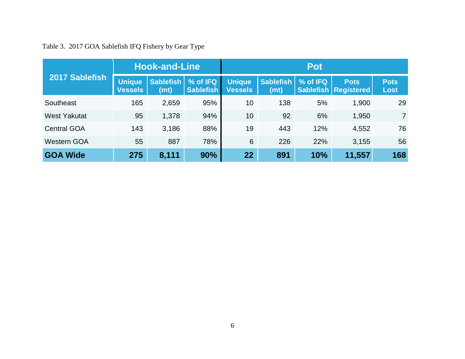|  |  |  | Table 3. 2017 GOA Sablefish IFQ Fishery by Gear Type |  |  |  |  |  |
|--|--|--|------------------------------------------------------|--|--|--|--|--|
|--|--|--|------------------------------------------------------|--|--|--|--|--|

|                     | <b>Hook-and-Line</b>     |                   |                       | Pot                             |                                       |          |                                                |                            |  |
|---------------------|--------------------------|-------------------|-----------------------|---------------------------------|---------------------------------------|----------|------------------------------------------------|----------------------------|--|
| 2017 Sablefish      | Unique<br><b>Vessels</b> | Sablefish<br>(mt) | % of IFQ<br>Sablefish | <b>Unique</b><br><b>Vessels</b> | <b>Sablefish</b><br>(m <sub>t</sub> ) | % of IFQ | <b>Pots</b><br><b>Sablefish   Registered  </b> | <b>Pots</b><br><b>Lost</b> |  |
| Southeast           | 165                      | 2,659             | 95%                   | 10                              | 138                                   | 5%       | 1,900                                          | 29                         |  |
| <b>West Yakutat</b> | 95                       | 1,378             | 94%                   | 10                              | 92                                    | 6%       | 1,950                                          | $\overline{7}$             |  |
| <b>Central GOA</b>  | 143                      | 3,186             | 88%                   | 19                              | 443                                   | 12%      | 4,552                                          | 76                         |  |
| <b>Western GOA</b>  | 55                       | 887               | 78%                   | 6                               | 226                                   | 22%      | 3,155                                          | 56                         |  |
| <b>GOA Wide</b>     | 275                      | 8,111             | 90%                   | 22                              | 891                                   | 10%      | 11,557                                         | 168                        |  |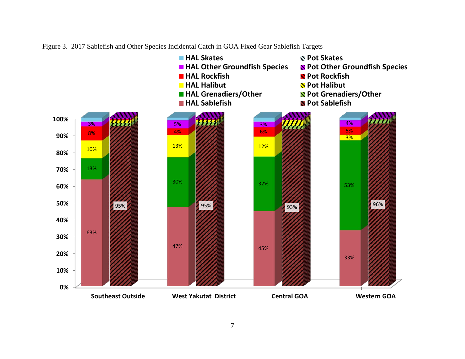

Figure 3. 2017 Sablefish and Other Species Incidental Catch in GOA Fixed Gear Sablefish Targets